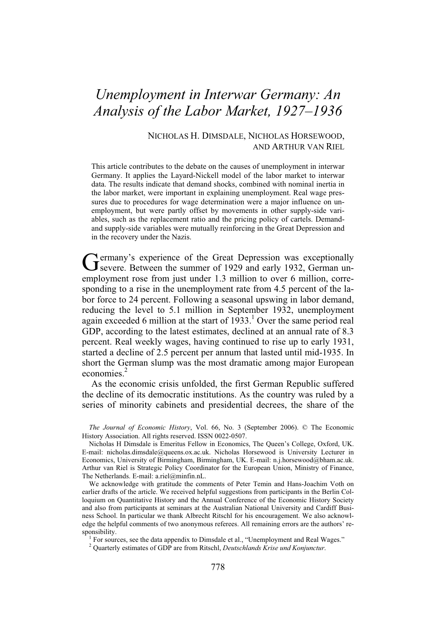# *Unemployment in Interwar Germany: An Analysis of the Labor Market, 1927–1936*

## NICHOLAS H. DIMSDALE, NICHOLAS HORSEWOOD, AND ARTHUR VAN RIEL

This article contributes to the debate on the causes of unemployment in interwar Germany. It applies the Layard-Nickell model of the labor market to interwar data. The results indicate that demand shocks, combined with nominal inertia in the labor market, were important in explaining unemployment. Real wage pressures due to procedures for wage determination were a major influence on unemployment, but were partly offset by movements in other supply-side variables, such as the replacement ratio and the pricing policy of cartels. Demandand supply-side variables were mutually reinforcing in the Great Depression and in the recovery under the Nazis.

**Permany's experience of the Great Depression was exceptionally** Germany's experience of the Great Depression was exceptionally<br>Severe. Between the summer of 1929 and early 1932, German unemployment rose from just under 1.3 million to over 6 million, corresponding to a rise in the unemployment rate from 4.5 percent of the labor force to 24 percent. Following a seasonal upswing in labor demand, reducing the level to 5.1 million in September 1932, unemployment again exceeded 6 million at the start of  $1933<sup>1</sup>$  Over the same period real GDP, according to the latest estimates, declined at an annual rate of 8.3 percent. Real weekly wages, having continued to rise up to early 1931, started a decline of 2.5 percent per annum that lasted until mid-1935. In short the German slump was the most dramatic among major European economies.<sup>2</sup>

 As the economic crisis unfolded, the first German Republic suffered the decline of its democratic institutions. As the country was ruled by a series of minority cabinets and presidential decrees, the share of the

We acknowledge with gratitude the comments of Peter Temin and Hans-Joachim Voth on earlier drafts of the article. We received helpful suggestions from participants in the Berlin Colloquium on Quantitative History and the Annual Conference of the Economic History Society and also from participants at seminars at the Australian National University and Cardiff Business School. In particular we thank Albrecht Ritschl for his encouragement. We also acknowledge the helpful comments of two anonymous referees. All remaining errors are the authors' responsibility.

 $<sup>1</sup>$  For sources, see the data appendix to Dimsdale et al., "Unemployment and Real Wages."</sup>

2 Quarterly estimates of GDP are from Ritschl, *Deutschlands Krise und Konjunctur*.

*The Journal of Economic History*, Vol. 66, No. 3 (September 2006). © The Economic History Association. All rights reserved. ISSN 0022-0507.

Nicholas H Dimsdale is Emeritus Fellow in Economics, The Queen's College, Oxford, UK. E-mail: nicholas.dimsdale@queens.ox.ac.uk. Nicholas Horsewood is University Lecturer in Economics, University of Birmingham, Birmingham, UK. E-mail: n.j.horsewood@bham.ac.uk. Arthur van Riel is Strategic Policy Coordinator for the European Union, Ministry of Finance, The Netherlands. E-mail: a.riel@minfin.nL.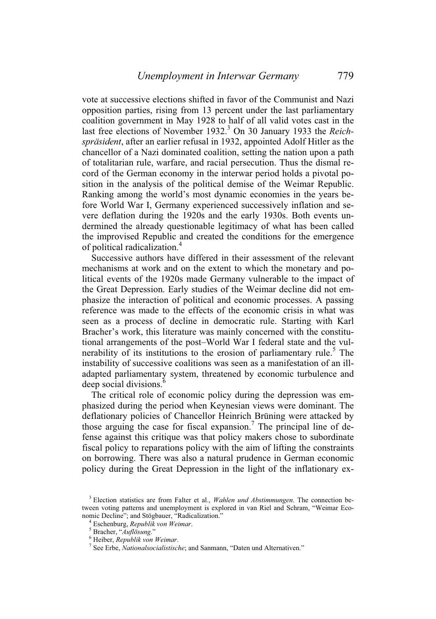vote at successive elections shifted in favor of the Communist and Nazi opposition parties, rising from 13 percent under the last parliamentary coalition government in May 1928 to half of all valid votes cast in the last free elections of November 1932.<sup>3</sup> On 30 January 1933 the *Reichspräsident*, after an earlier refusal in 1932, appointed Adolf Hitler as the chancellor of a Nazi dominated coalition, setting the nation upon a path of totalitarian rule, warfare, and racial persecution. Thus the dismal record of the German economy in the interwar period holds a pivotal position in the analysis of the political demise of the Weimar Republic. Ranking among the world's most dynamic economies in the years before World War I, Germany experienced successively inflation and severe deflation during the 1920s and the early 1930s. Both events undermined the already questionable legitimacy of what has been called the improvised Republic and created the conditions for the emergence of political radicalization.4

 Successive authors have differed in their assessment of the relevant mechanisms at work and on the extent to which the monetary and political events of the 1920s made Germany vulnerable to the impact of the Great Depression. Early studies of the Weimar decline did not emphasize the interaction of political and economic processes. A passing reference was made to the effects of the economic crisis in what was seen as a process of decline in democratic rule. Starting with Karl Bracher's work, this literature was mainly concerned with the constitutional arrangements of the post–World War I federal state and the vulnerability of its institutions to the erosion of parliamentary rule.<sup>5</sup> The instability of successive coalitions was seen as a manifestation of an illadapted parliamentary system, threatened by economic turbulence and deep social divisions.<sup>6</sup>

 The critical role of economic policy during the depression was emphasized during the period when Keynesian views were dominant. The deflationary policies of Chancellor Heinrich Brüning were attacked by those arguing the case for fiscal expansion.<sup>7</sup> The principal line of defense against this critique was that policy makers chose to subordinate fiscal policy to reparations policy with the aim of lifting the constraints on borrowing. There was also a natural prudence in German economic policy during the Great Depression in the light of the inflationary ex-

<sup>3</sup> Election statistics are from Falter et al., *Wahlen und Abstimmungen*. The connection between voting patterns and unemployment is explored in van Riel and Schram, "Weimar Economic Decline"; and Stögbauer, "Radicalization." 4

Eschenburg, *Republik von Weimar*. <sup>5</sup>

<sup>&</sup>lt;sup>5</sup> Bracher, "Auflösung."

Heiber, *Republik von Weimar*. <sup>7</sup>

<sup>&</sup>lt;sup>7</sup> See Erbe, *Nationalsocialistische*; and Sanmann, "Daten und Alternativen."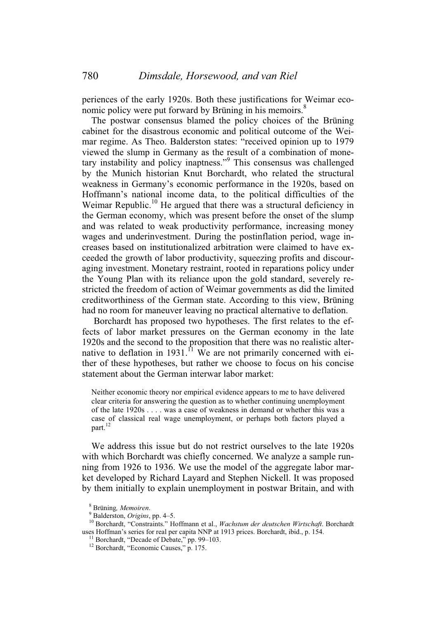periences of the early 1920s. Both these justifications for Weimar economic policy were put forward by Brüning in his memoirs.<sup>8</sup>

 The postwar consensus blamed the policy choices of the Brüning cabinet for the disastrous economic and political outcome of the Weimar regime. As Theo. Balderston states: "received opinion up to 1979 viewed the slump in Germany as the result of a combination of monetary instability and policy inaptness."9 This consensus was challenged by the Munich historian Knut Borchardt, who related the structural weakness in Germany's economic performance in the 1920s, based on Hoffmann's national income data, to the political difficulties of the Weimar Republic.<sup>10</sup> He argued that there was a structural deficiency in the German economy, which was present before the onset of the slump and was related to weak productivity performance, increasing money wages and underinvestment. During the postinflation period, wage increases based on institutionalized arbitration were claimed to have exceeded the growth of labor productivity, squeezing profits and discouraging investment. Monetary restraint, rooted in reparations policy under the Young Plan with its reliance upon the gold standard, severely restricted the freedom of action of Weimar governments as did the limited creditworthiness of the German state. According to this view, Brüning had no room for maneuver leaving no practical alternative to deflation.

 Borchardt has proposed two hypotheses. The first relates to the effects of labor market pressures on the German economy in the late 1920s and the second to the proposition that there was no realistic alternative to deflation in 1931.<sup>11</sup> We are not primarily concerned with either of these hypotheses, but rather we choose to focus on his concise statement about the German interwar labor market:

Neither economic theory nor empirical evidence appears to me to have delivered clear criteria for answering the question as to whether continuing unemployment of the late 1920s . . . . was a case of weakness in demand or whether this was a case of classical real wage unemployment, or perhaps both factors played a part.<sup>12</sup>

 We address this issue but do not restrict ourselves to the late 1920s with which Borchardt was chiefly concerned. We analyze a sample running from 1926 to 1936. We use the model of the aggregate labor market developed by Richard Layard and Stephen Nickell. It was proposed by them initially to explain unemployment in postwar Britain, and with

<sup>&</sup>lt;sup>8</sup> Brüning, *Memoiren.*<br><sup>9</sup> Bolderston, *Origins* 

<sup>&</sup>lt;sup>9</sup> Balderston, *Origins*, pp. 4–5.<br><sup>10</sup> Borchardt, "Constraints." Hoffmann et al., *Wachstum der deutschen Wirtschaft*. Borchardt uses Hoffman's series for real per capita NNP at 1913 prices. Borchardt, ibid., p. 154.<br><sup>11</sup> Borchardt, "Decade of Debate," pp. 99–103.

<sup>&</sup>lt;sup>11</sup> Borchardt, "Decade of Debate," pp. 99–103.<br><sup>12</sup> Borchardt, "Economic Causes," p. 175.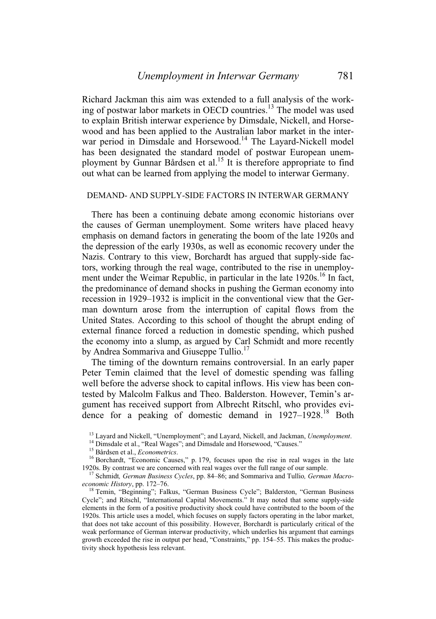Richard Jackman this aim was extended to a full analysis of the working of postwar labor markets in OECD countries.13 The model was used to explain British interwar experience by Dimsdale, Nickell, and Horsewood and has been applied to the Australian labor market in the interwar period in Dimsdale and Horsewood.<sup>14</sup> The Layard-Nickell model has been designated the standard model of postwar European unemployment by Gunnar Bårdsen et al.<sup>15</sup> It is therefore appropriate to find out what can be learned from applying the model to interwar Germany.

## DEMAND- AND SUPPLY-SIDE FACTORS IN INTERWAR GERMANY

There has been a continuing debate among economic historians over the causes of German unemployment. Some writers have placed heavy emphasis on demand factors in generating the boom of the late 1920s and the depression of the early 1930s, as well as economic recovery under the Nazis. Contrary to this view, Borchardt has argued that supply-side factors, working through the real wage, contributed to the rise in unemployment under the Weimar Republic, in particular in the late  $1920s$ , <sup>16</sup> In fact, the predominance of demand shocks in pushing the German economy into recession in 1929–1932 is implicit in the conventional view that the German downturn arose from the interruption of capital flows from the United States. According to this school of thought the abrupt ending of external finance forced a reduction in domestic spending, which pushed the economy into a slump, as argued by Carl Schmidt and more recently by Andrea Sommariva and Giuseppe Tullio.<sup>17</sup>

 The timing of the downturn remains controversial. In an early paper Peter Temin claimed that the level of domestic spending was falling well before the adverse shock to capital inflows. His view has been contested by Malcolm Falkus and Theo. Balderston. However, Temin's argument has received support from Albrecht Ritschl, who provides evidence for a peaking of domestic demand in 1927–1928.<sup>18</sup> Both

<sup>&</sup>lt;sup>13</sup> Layard and Nickell, "Unemployment"; and Layard, Nickell, and Jackman, *Unemployment*.<br><sup>14</sup> Dimsdale et al., "Real Wages"; and Dimsdale and Horsewood, "Causes."<br><sup>15</sup> Bårdsen et al., *Econometrics*.

<sup>&</sup>lt;sup>16</sup> Borchardt, "Economic Causes," p. 179, focuses upon the rise in real wages in the late 1920s. By contrast we are concerned with real wages over the full range of our sample.

<sup>&</sup>lt;sup>17</sup> Schmidt, *German Business Cycles*, pp. 84–86; and Sommariva and Tullio, *German Macro-economic History*, pp. 172–76.

<sup>&</sup>lt;sup>18</sup> Temin, "Beginning"; Falkus, "German Business Cycle"; Balderston, "German Business Cycle"; and Ritschl, "International Capital Movements." It may noted that some supply-side elements in the form of a positive productivity shock could have contributed to the boom of the 1920s. This article uses a model, which focuses on supply factors operating in the labor market, that does not take account of this possibility. However, Borchardt is particularly critical of the weak performance of German interwar productivity, which underlies his argument that earnings growth exceeded the rise in output per head, "Constraints," pp. 154–55. This makes the productivity shock hypothesis less relevant.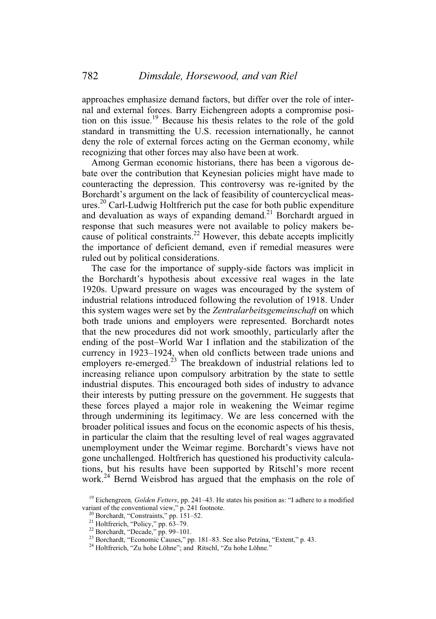approaches emphasize demand factors, but differ over the role of internal and external forces. Barry Eichengreen adopts a compromise position on this issue.19 Because his thesis relates to the role of the gold standard in transmitting the U.S. recession internationally, he cannot deny the role of external forces acting on the German economy, while recognizing that other forces may also have been at work.

 Among German economic historians, there has been a vigorous debate over the contribution that Keynesian policies might have made to counteracting the depression. This controversy was re-ignited by the Borchardt's argument on the lack of feasibility of countercyclical measures.<sup>20</sup> Carl-Ludwig Holtfrerich put the case for both public expenditure and devaluation as ways of expanding demand.<sup>21</sup> Borchardt argued in response that such measures were not available to policy makers because of political constraints.<sup>22</sup> However, this debate accepts implicitly the importance of deficient demand, even if remedial measures were ruled out by political considerations.

 The case for the importance of supply-side factors was implicit in the Borchardt's hypothesis about excessive real wages in the late 1920s. Upward pressure on wages was encouraged by the system of industrial relations introduced following the revolution of 1918. Under this system wages were set by the *Zentralarbeitsgemeinschaft* on which both trade unions and employers were represented. Borchardt notes that the new procedures did not work smoothly, particularly after the ending of the post–World War I inflation and the stabilization of the currency in 1923–1924, when old conflicts between trade unions and employers re-emerged.<sup> $23$ </sup> The breakdown of industrial relations led to increasing reliance upon compulsory arbitration by the state to settle industrial disputes. This encouraged both sides of industry to advance their interests by putting pressure on the government. He suggests that these forces played a major role in weakening the Weimar regime through undermining its legitimacy. We are less concerned with the broader political issues and focus on the economic aspects of his thesis, in particular the claim that the resulting level of real wages aggravated unemployment under the Weimar regime. Borchardt's views have not gone unchallenged. Holtfrerich has questioned his productivity calculations, but his results have been supported by Ritschl's more recent work.<sup>24</sup> Bernd Weisbrod has argued that the emphasis on the role of

<sup>&</sup>lt;sup>19</sup> Eichengreen, *Golden Fetters*, pp. 241–43. He states his position as: "I adhere to a modified variant of the conventional view," p. 241 footnote. variant of the conventional view," p. 241 footnote. <sup>20</sup> Borchardt, "Constraints," pp. 151–52.

 $21$  Holtfrerich, "Policy," pp.  $63-79$ .

 $22$  Borchardt, "Decade," pp. 99-101.

 $^{23}$  Borchardt, "Economic Causes," pp. 181–83. See also Petzina, "Extent," p. 43.

<sup>&</sup>lt;sup>24</sup> Holtfrerich, "Zu hohe Löhne"; and Ritschl, "Zu hohe Löhne."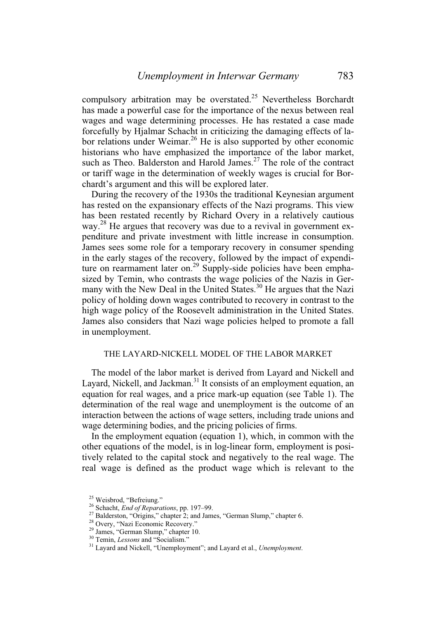compulsory arbitration may be overstated.<sup>25</sup> Nevertheless Borchardt has made a powerful case for the importance of the nexus between real wages and wage determining processes. He has restated a case made forcefully by Hjalmar Schacht in criticizing the damaging effects of labor relations under Weimar.<sup>26</sup> He is also supported by other economic historians who have emphasized the importance of the labor market, such as Theo. Balderston and Harold James. $27$  The role of the contract or tariff wage in the determination of weekly wages is crucial for Borchardt's argument and this will be explored later.

 During the recovery of the 1930s the traditional Keynesian argument has rested on the expansionary effects of the Nazi programs. This view has been restated recently by Richard Overy in a relatively cautious way.<sup>28</sup> He argues that recovery was due to a revival in government expenditure and private investment with little increase in consumption. James sees some role for a temporary recovery in consumer spending in the early stages of the recovery, followed by the impact of expenditure on rearmament later on.<sup>29</sup> Supply-side policies have been emphasized by Temin, who contrasts the wage policies of the Nazis in Germany with the New Deal in the United States.<sup>30</sup> He argues that the Nazi policy of holding down wages contributed to recovery in contrast to the high wage policy of the Roosevelt administration in the United States. James also considers that Nazi wage policies helped to promote a fall in unemployment.

## THE LAYARD-NICKELL MODEL OF THE LABOR MARKET

 The model of the labor market is derived from Layard and Nickell and Layard, Nickell, and Jackman. $31$  It consists of an employment equation, an equation for real wages, and a price mark-up equation (see Table 1). The determination of the real wage and unemployment is the outcome of an interaction between the actions of wage setters, including trade unions and wage determining bodies, and the pricing policies of firms.

 In the employment equation (equation 1), which, in common with the other equations of the model, is in log-linear form, employment is positively related to the capital stock and negatively to the real wage. The real wage is defined as the product wage which is relevant to the

<sup>&</sup>lt;sup>25</sup> Weisbrod, "Befreiung."<br><sup>26</sup> Schacht, *End of Reparations*, pp. 197–99.

<sup>&</sup>lt;sup>27</sup> Balderston, "Origins," chapter 2; and James, "German Slump," chapter 6.

<sup>28</sup> Overy, "Nazi Economic Recovery."

<sup>&</sup>lt;sup>29</sup> James, "German Slump," chapter 10.

<sup>30</sup> Temin, *Lessons* and "Socialism." 31 Layard and Nickell, "Unemployment"; and Layard et al., *Unemployment*.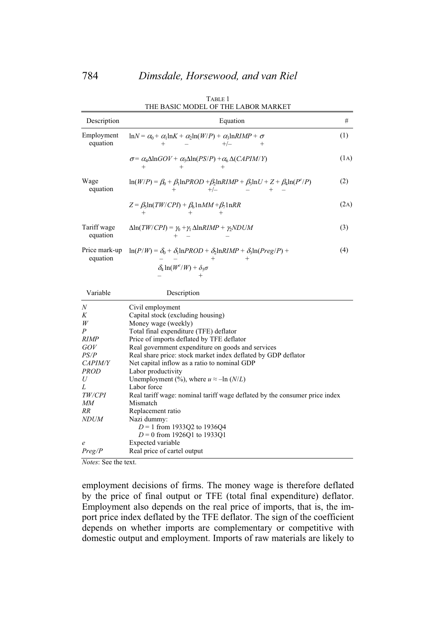|                                                                                                                          | THE BASIC MODEL OF THE LABOR MARKET                                                                                                                                                                                                                                                                                                                                                                                                                                                                                                                                                                                             |      |
|--------------------------------------------------------------------------------------------------------------------------|---------------------------------------------------------------------------------------------------------------------------------------------------------------------------------------------------------------------------------------------------------------------------------------------------------------------------------------------------------------------------------------------------------------------------------------------------------------------------------------------------------------------------------------------------------------------------------------------------------------------------------|------|
| Description                                                                                                              | Equation                                                                                                                                                                                                                                                                                                                                                                                                                                                                                                                                                                                                                        | #    |
| Employment<br>equation                                                                                                   | $\ln N = \alpha_0 + \alpha_1 \ln K + \alpha_2 \ln(W/P) + \alpha_3 \ln RIMP + \sigma$<br>$+/-$<br>$+$<br>$^{+}$                                                                                                                                                                                                                                                                                                                                                                                                                                                                                                                  | (1)  |
|                                                                                                                          | $\sigma = \alpha_4 \Delta \ln GOV + \alpha_5 \Delta \ln (PS/P) + \alpha_6 \Delta (CAPIM/Y)$                                                                                                                                                                                                                                                                                                                                                                                                                                                                                                                                     | (1A) |
| Wage<br>equation                                                                                                         | $\ln(W/P) = \beta_0 + \beta_1 \ln PROD + \beta_2 \ln RIMP + \beta_3 \ln U + Z + \beta_4 \ln(P^e/P)$<br>+ + + + - - + -                                                                                                                                                                                                                                                                                                                                                                                                                                                                                                          | (2)  |
|                                                                                                                          | $\begin{array}{l} Z = \beta_5{\ln}(TW/CPI) + \beta_6{\ln}MM + \beta_7{\ln}RR \\ + \qquad + \qquad + \qquad + \end{array}$                                                                                                                                                                                                                                                                                                                                                                                                                                                                                                       | (2A) |
| Tariff wage<br>equation                                                                                                  | $\Delta \ln (TW/CPI) = \gamma_0 + \gamma_1 \Delta \ln RIMP + \gamma_2 N DUM$                                                                                                                                                                                                                                                                                                                                                                                                                                                                                                                                                    | (3)  |
| Price mark-up<br>equation                                                                                                | $\ln(P/W) = \delta_0 + \delta_1 \ln PROD + \delta_2 \ln RIMP + \delta_3 \ln (Preg/P) +$<br>$  +$ $+$<br>$\begin{array}{l} \delta_4 \ln(W^e/W) + \delta_5 \sigma \\ - \qquad + \qquad \qquad \end{array}$                                                                                                                                                                                                                                                                                                                                                                                                                        | (4)  |
| Variable                                                                                                                 | Description                                                                                                                                                                                                                                                                                                                                                                                                                                                                                                                                                                                                                     |      |
| N<br>Κ<br>W<br>$\boldsymbol{P}$<br>RIMP<br>GOV<br>PS/P<br>CAPIM/Y<br>PROD<br>U<br>L<br>TW/CPI<br>MМ<br>RR<br><b>NDUM</b> | Civil employment<br>Capital stock (excluding housing)<br>Money wage (weekly)<br>Total final expenditure (TFE) deflator<br>Price of imports deflated by TFE deflator<br>Real government expenditure on goods and services<br>Real share price: stock market index deflated by GDP deflator<br>Net capital inflow as a ratio to nominal GDP<br>Labor productivity<br>Unemployment (%), where $u \approx -\ln(N/L)$<br>Labor force<br>Real tariff wage: nominal tariff wage deflated by the consumer price index<br>Mismatch<br>Replacement ratio<br>Nazi dummy:<br>$D = 1$ from 1933Q2 to 1936Q4<br>$D = 0$ from 1926Q1 to 1933Q1 |      |
| $\epsilon$<br>Preg/P                                                                                                     | Expected variable<br>Real price of cartel output                                                                                                                                                                                                                                                                                                                                                                                                                                                                                                                                                                                |      |

| TABLE 1                             |  |
|-------------------------------------|--|
| THE BASIC MODEL OF THE LABOR MARKET |  |

*Notes*: See the text.

employment decisions of firms. The money wage is therefore deflated by the price of final output or TFE (total final expenditure) deflator. Employment also depends on the real price of imports, that is, the import price index deflated by the TFE deflator. The sign of the coefficient depends on whether imports are complementary or competitive with domestic output and employment. Imports of raw materials are likely to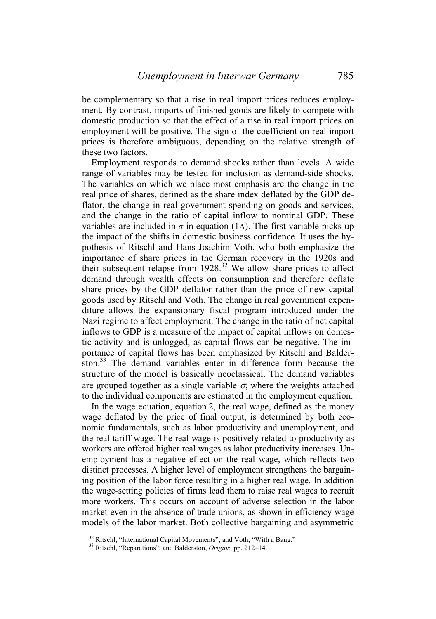be complementary so that a rise in real import prices reduces employment. By contrast, imports of finished goods are likely to compete with domestic production so that the effect of a rise in real import prices on employment will be positive. The sign of the coefficient on real import prices is therefore ambiguous, depending on the relative strength of these two factors.

 Employment responds to demand shocks rather than levels. A wide range of variables may be tested for inclusion as demand-side shocks. The variables on which we place most emphasis are the change in the real price of shares, defined as the share index deflated by the GDP deflator, the change in real government spending on goods and services, and the change in the ratio of capital inflow to nominal GDP. These variables are included in  $\sigma$  in equation (1A). The first variable picks up the impact of the shifts in domestic business confidence. It uses the hypothesis of Ritschl and Hans-Joachim Voth, who both emphasize the importance of share prices in the German recovery in the 1920s and their subsequent relapse from  $1928$ <sup>32</sup> We allow share prices to affect demand through wealth effects on consumption and therefore deflate share prices by the GDP deflator rather than the price of new capital goods used by Ritschl and Voth. The change in real government expenditure allows the expansionary fiscal program introduced under the Nazi regime to affect employment. The change in the ratio of net capital inflows to GDP is a measure of the impact of capital inflows on domestic activity and is unlogged, as capital flows can be negative. The importance of capital flows has been emphasized by Ritschl and Balderston.33 The demand variables enter in difference form because the structure of the model is basically neoclassical. The demand variables are grouped together as a single variable  $\sigma$ , where the weights attached to the individual components are estimated in the employment equation.

 In the wage equation, equation 2, the real wage, defined as the money wage deflated by the price of final output, is determined by both economic fundamentals, such as labor productivity and unemployment, and the real tariff wage. The real wage is positively related to productivity as workers are offered higher real wages as labor productivity increases. Unemployment has a negative effect on the real wage, which reflects two distinct processes. A higher level of employment strengthens the bargaining position of the labor force resulting in a higher real wage. In addition the wage-setting policies of firms lead them to raise real wages to recruit more workers. This occurs on account of adverse selection in the labor market even in the absence of trade unions, as shown in efficiency wage models of the labor market. Both collective bargaining and asymmetric

<sup>&</sup>lt;sup>32</sup> Ritschl, "International Capital Movements"; and Voth, "With a Bang."

<sup>33</sup> Ritschl, "Reparations"; and Balderston, *Origins*, pp. 212–14.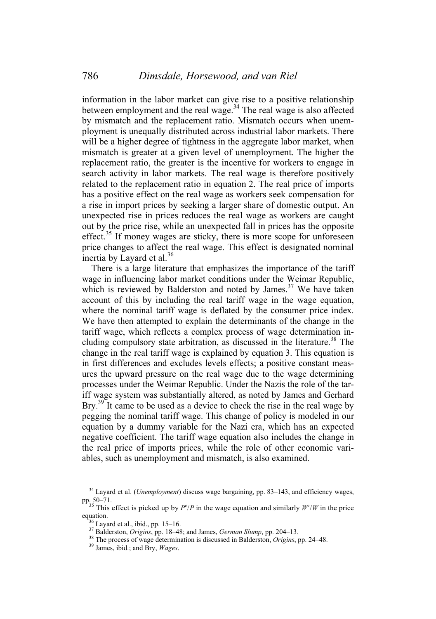information in the labor market can give rise to a positive relationship between employment and the real wage.<sup>34</sup> The real wage is also affected by mismatch and the replacement ratio. Mismatch occurs when unemployment is unequally distributed across industrial labor markets. There will be a higher degree of tightness in the aggregate labor market, when mismatch is greater at a given level of unemployment. The higher the replacement ratio, the greater is the incentive for workers to engage in search activity in labor markets. The real wage is therefore positively related to the replacement ratio in equation 2. The real price of imports has a positive effect on the real wage as workers seek compensation for a rise in import prices by seeking a larger share of domestic output. An unexpected rise in prices reduces the real wage as workers are caught out by the price rise, while an unexpected fall in prices has the opposite effect.<sup>35</sup> If money wages are sticky, there is more scope for unforeseen price changes to affect the real wage. This effect is designated nominal inertia by Layard et al. $36$ 

 There is a large literature that emphasizes the importance of the tariff wage in influencing labor market conditions under the Weimar Republic, which is reviewed by Balderston and noted by James.<sup>37</sup> We have taken account of this by including the real tariff wage in the wage equation, where the nominal tariff wage is deflated by the consumer price index. We have then attempted to explain the determinants of the change in the tariff wage, which reflects a complex process of wage determination including compulsory state arbitration, as discussed in the literature.<sup>38</sup> The change in the real tariff wage is explained by equation 3. This equation is in first differences and excludes levels effects; a positive constant measures the upward pressure on the real wage due to the wage determining processes under the Weimar Republic. Under the Nazis the role of the tariff wage system was substantially altered, as noted by James and Gerhard Bry.<sup>39</sup> It came to be used as a device to check the rise in the real wage by pegging the nominal tariff wage. This change of policy is modeled in our equation by a dummy variable for the Nazi era, which has an expected negative coefficient. The tariff wage equation also includes the change in the real price of imports prices, while the role of other economic variables, such as unemployment and mismatch, is also examined.

<sup>34</sup> Layard et al. (*Unemployment*) discuss wage bargaining, pp. 83–143, and efficiency wages,

pp. 50–71.<br><sup>35</sup> This effect is picked up by  $P^e/P$  in the wage equation and similarly  $W^e/W$  in the price equation.<br> $36 \text{ Layard et al., ibid., pp. } 15-16.$ <br> $37 \text{ Balderston, } Origins, \text{ pp. } 18-48; \text{ and James, } German Slump, \text{ pp. } 204-13.$ 

<sup>&</sup>lt;sup>38</sup> The process of wage determination is discussed in Balderston, *Origins*, pp. 24–48. <sup>39</sup> James, ibid.; and Bry, *Wages*.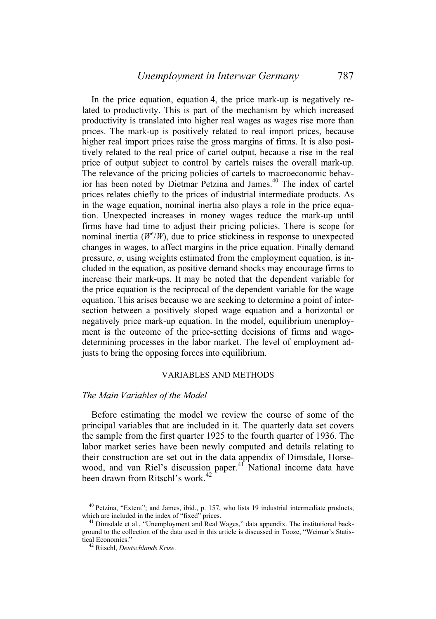In the price equation, equation 4, the price mark-up is negatively related to productivity. This is part of the mechanism by which increased productivity is translated into higher real wages as wages rise more than prices. The mark-up is positively related to real import prices, because higher real import prices raise the gross margins of firms. It is also positively related to the real price of cartel output, because a rise in the real price of output subject to control by cartels raises the overall mark-up. The relevance of the pricing policies of cartels to macroeconomic behavior has been noted by Dietmar Petzina and James.<sup>40</sup> The index of cartel prices relates chiefly to the prices of industrial intermediate products. As in the wage equation, nominal inertia also plays a role in the price equation. Unexpected increases in money wages reduce the mark-up until firms have had time to adjust their pricing policies. There is scope for nominal inertia  $(W<sup>e</sup>/W)$ , due to price stickiness in response to unexpected changes in wages, to affect margins in the price equation. Finally demand pressure,  $\sigma$ , using weights estimated from the employment equation, is included in the equation, as positive demand shocks may encourage firms to increase their mark-ups. It may be noted that the dependent variable for the price equation is the reciprocal of the dependent variable for the wage equation. This arises because we are seeking to determine a point of intersection between a positively sloped wage equation and a horizontal or negatively price mark-up equation. In the model, equilibrium unemployment is the outcome of the price-setting decisions of firms and wagedetermining processes in the labor market. The level of employment adjusts to bring the opposing forces into equilibrium.

#### VARIABLES AND METHODS

#### *The Main Variables of the Model*

 Before estimating the model we review the course of some of the principal variables that are included in it. The quarterly data set covers the sample from the first quarter 1925 to the fourth quarter of 1936. The labor market series have been newly computed and details relating to their construction are set out in the data appendix of Dimsdale, Horsewood, and van Riel's discussion paper.<sup>41</sup> National income data have been drawn from Ritschl's work.<sup>42</sup>

 $40$  Petzina, "Extent"; and James, ibid., p. 157, who lists 19 industrial intermediate products, which are included in the index of "fixed" prices.

<sup>&</sup>lt;sup>41</sup> Dimsdale et al., "Unemployment and Real Wages," data appendix. The institutional background to the collection of the data used in this article is discussed in Tooze, "Weimar's Statis-

<sup>&</sup>lt;sup>42</sup> Ritschl, *Deutschlands Krise*.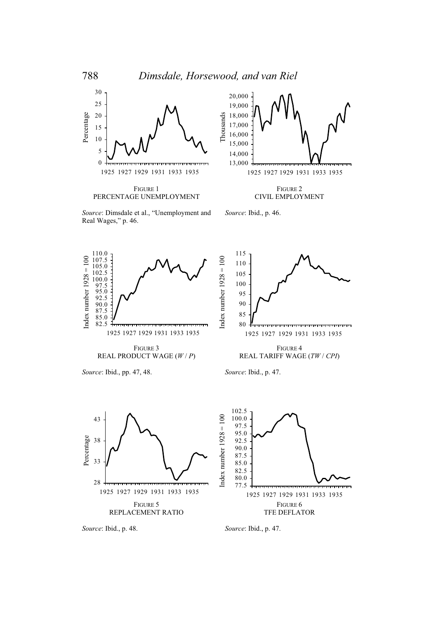

FIGURE 1 PERCENTAGE UNEMPLOYMENT

*Source*: Ibid., p. 46.



*Source*: Dimsdale et al., "Unemployment and Real Wages," p. 46.





77.5 80.0 82.5 85.0 87.5 90.0 92.5 95.0 97.5 100.0 1925 1927 1929 1931 1933 1935 FIGURE 6

TFE DEFLATOR

*Source*: Ibid., p. 48.

*Source*: Ibid., p. 47.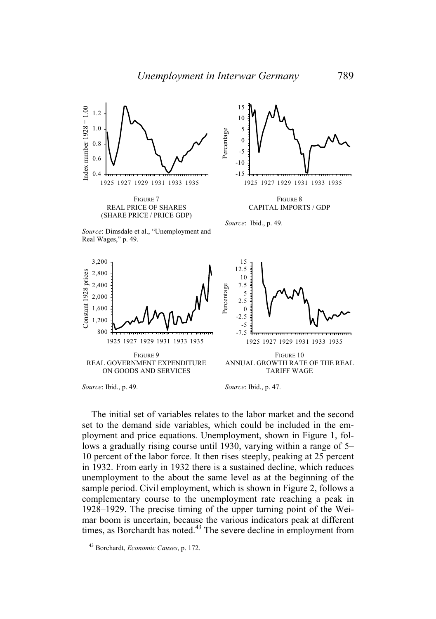

 The initial set of variables relates to the labor market and the second set to the demand side variables, which could be included in the employment and price equations. Unemployment, shown in Figure 1, follows a gradually rising course until 1930, varying within a range of 5– 10 percent of the labor force. It then rises steeply, peaking at 25 percent in 1932. From early in 1932 there is a sustained decline, which reduces unemployment to the about the same level as at the beginning of the sample period. Civil employment, which is shown in Figure 2, follows a complementary course to the unemployment rate reaching a peak in 1928–1929. The precise timing of the upper turning point of the Weimar boom is uncertain, because the various indicators peak at different times, as Borchardt has noted.<sup>43</sup> The severe decline in employment from

<sup>43</sup> Borchardt, *Economic Causes*, p. 172.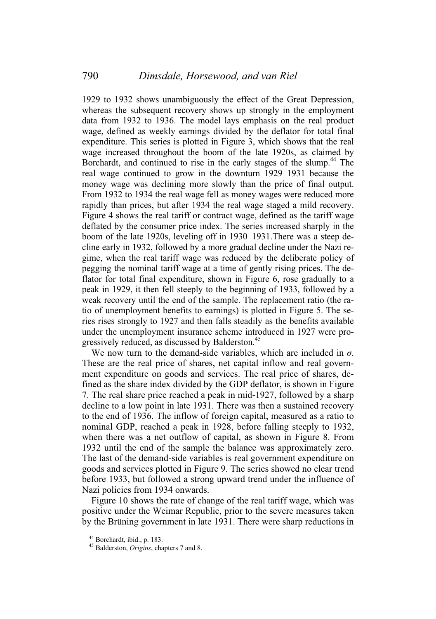1929 to 1932 shows unambiguously the effect of the Great Depression, whereas the subsequent recovery shows up strongly in the employment data from 1932 to 1936. The model lays emphasis on the real product wage, defined as weekly earnings divided by the deflator for total final expenditure. This series is plotted in Figure 3, which shows that the real wage increased throughout the boom of the late 1920s, as claimed by Borchardt, and continued to rise in the early stages of the slump.<sup>44</sup> The real wage continued to grow in the downturn 1929–1931 because the money wage was declining more slowly than the price of final output. From 1932 to 1934 the real wage fell as money wages were reduced more rapidly than prices, but after 1934 the real wage staged a mild recovery. Figure 4 shows the real tariff or contract wage, defined as the tariff wage deflated by the consumer price index. The series increased sharply in the boom of the late 1920s, leveling off in 1930–1931.There was a steep decline early in 1932, followed by a more gradual decline under the Nazi regime, when the real tariff wage was reduced by the deliberate policy of pegging the nominal tariff wage at a time of gently rising prices. The deflator for total final expenditure, shown in Figure 6, rose gradually to a peak in 1929, it then fell steeply to the beginning of 1933, followed by a weak recovery until the end of the sample. The replacement ratio (the ratio of unemployment benefits to earnings) is plotted in Figure 5. The series rises strongly to 1927 and then falls steadily as the benefits available under the unemployment insurance scheme introduced in 1927 were progressively reduced, as discussed by Balderston.<sup>45</sup>

We now turn to the demand-side variables, which are included in  $\sigma$ . These are the real price of shares, net capital inflow and real government expenditure on goods and services. The real price of shares, defined as the share index divided by the GDP deflator, is shown in Figure 7. The real share price reached a peak in mid-1927, followed by a sharp decline to a low point in late 1931. There was then a sustained recovery to the end of 1936. The inflow of foreign capital, measured as a ratio to nominal GDP, reached a peak in 1928, before falling steeply to 1932, when there was a net outflow of capital, as shown in Figure 8. From 1932 until the end of the sample the balance was approximately zero. The last of the demand-side variables is real government expenditure on goods and services plotted in Figure 9. The series showed no clear trend before 1933, but followed a strong upward trend under the influence of Nazi policies from 1934 onwards.

 Figure 10 shows the rate of change of the real tariff wage, which was positive under the Weimar Republic, prior to the severe measures taken by the Brüning government in late 1931. There were sharp reductions in

<sup>44</sup> Borchardt, ibid., p. 183.

<sup>45</sup> Balderston, *Origins*, chapters 7 and 8.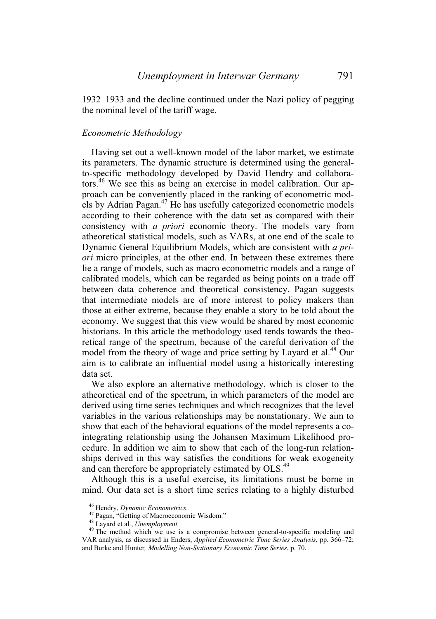1932–1933 and the decline continued under the Nazi policy of pegging the nominal level of the tariff wage.

## *Econometric Methodology*

Having set out a well-known model of the labor market, we estimate its parameters. The dynamic structure is determined using the generalto-specific methodology developed by David Hendry and collaborators.<sup>46</sup> We see this as being an exercise in model calibration. Our approach can be conveniently placed in the ranking of econometric models by Adrian Pagan. $47$  He has usefully categorized econometric models according to their coherence with the data set as compared with their consistency with *a priori* economic theory. The models vary from atheoretical statistical models, such as VARs, at one end of the scale to Dynamic General Equilibrium Models, which are consistent with *a priori* micro principles, at the other end. In between these extremes there lie a range of models, such as macro econometric models and a range of calibrated models, which can be regarded as being points on a trade off between data coherence and theoretical consistency. Pagan suggests that intermediate models are of more interest to policy makers than those at either extreme, because they enable a story to be told about the economy. We suggest that this view would be shared by most economic historians. In this article the methodology used tends towards the theoretical range of the spectrum, because of the careful derivation of the model from the theory of wage and price setting by Layard et al.<sup>48</sup> Our aim is to calibrate an influential model using a historically interesting data set.

 We also explore an alternative methodology, which is closer to the atheoretical end of the spectrum, in which parameters of the model are derived using time series techniques and which recognizes that the level variables in the various relationships may be nonstationary. We aim to show that each of the behavioral equations of the model represents a cointegrating relationship using the Johansen Maximum Likelihood procedure. In addition we aim to show that each of the long-run relationships derived in this way satisfies the conditions for weak exogeneity and can therefore be appropriately estimated by OLS.<sup>49</sup>

 Although this is a useful exercise, its limitations must be borne in mind. Our data set is a short time series relating to a highly disturbed

<sup>&</sup>lt;sup>46</sup> Hendry, *Dynamic Econometrics*.<br><sup>47</sup> Pagan, "Getting of Macroeconomic Wisdom."<br><sup>48</sup> Layard et al., *Unemployment*.

<sup>&</sup>lt;sup>49</sup> The method which we use is a compromise between general-to-specific modeling and VAR analysis, as discussed in Enders, *Applied Econometric Time Series Analysis*, pp. 366–72; and Burke and Hunter*, Modelling Non-Stationary Economic Time Series*, p. 70.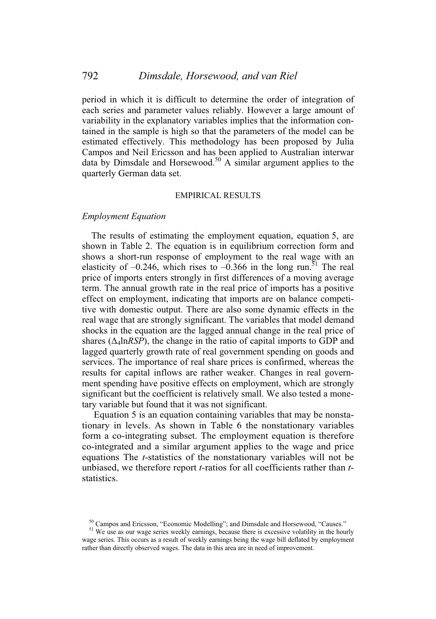period in which it is difficult to determine the order of integration of each series and parameter values reliably. However a large amount of variability in the explanatory variables implies that the information contained in the sample is high so that the parameters of the model can be estimated effectively. This methodology has been proposed by Julia Campos and Neil Ericsson and has been applied to Australian interwar data by Dimsdale and Horsewood.<sup>50</sup> A similar argument applies to the quarterly German data set.

#### EMPIRICAL RESULTS

## *Employment Equation*

The results of estimating the employment equation, equation 5, are shown in Table 2. The equation is in equilibrium correction form and shows a short-run response of employment to the real wage with an elasticity of  $-0.246$ , which rises to  $-0.366$  in the long run.<sup>51</sup> The real price of imports enters strongly in first differences of a moving average term. The annual growth rate in the real price of imports has a positive effect on employment, indicating that imports are on balance competitive with domestic output. There are also some dynamic effects in the real wage that are strongly significant. The variables that model demand shocks in the equation are the lagged annual change in the real price of shares  $(\Delta_4 \ln RSP)$ , the change in the ratio of capital imports to GDP and lagged quarterly growth rate of real government spending on goods and services. The importance of real share prices is confirmed, whereas the results for capital inflows are rather weaker. Changes in real government spending have positive effects on employment, which are strongly significant but the coefficient is relatively small. We also tested a monetary variable but found that it was not significant.

 Equation 5 is an equation containing variables that may be nonstationary in levels. As shown in Table 6 the nonstationary variables form a co-integrating subset. The employment equation is therefore co-integrated and a similar argument applies to the wage and price equations The *t*-statistics of the nonstationary variables will not be unbiased, we therefore report *t-*ratios for all coefficients rather than *t*statistics.

<sup>&</sup>lt;sup>50</sup> Campos and Ericsson, "Economic Modelling"; and Dimsdale and Horsewood, "Causes."

<sup>&</sup>lt;sup>51</sup> We use as our wage series weekly earnings, because there is excessive volatility in the hourly wage series. This occurs as a result of weekly earnings being the wage bill deflated by employment rather than directly observed wages. The data in this area are in need of improvement.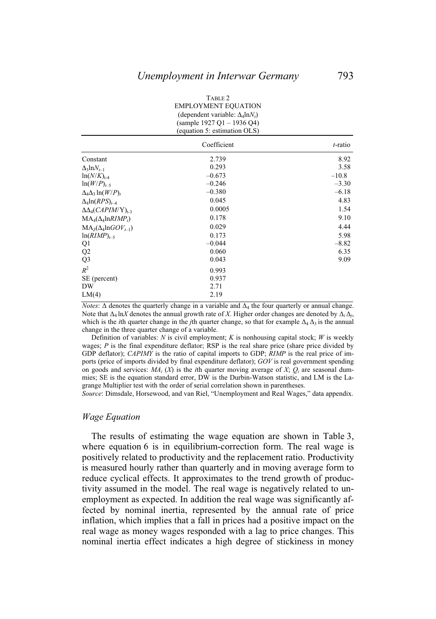|                                 | (sample 1927 Q1 – 1936 Q4)<br>(equation 5: estimation OLS) |                 |
|---------------------------------|------------------------------------------------------------|-----------------|
|                                 | Coefficient                                                | <i>t</i> -ratio |
| Constant                        | 2.739                                                      | 8.92            |
| $\Delta_3$ ln $N_{t-1}$         | 0.293                                                      | 3.58            |
| $ln(N/K)_{t-4}$                 | $-0.673$                                                   | $-10.8$         |
| $ln(W/P)_{t-5}$                 | $-0.246$                                                   | $-3.30$         |
| $\Delta_4 \Delta_3 \ln(W/P)_t$  | $-0.380$                                                   | $-6.18$         |
| $\Delta_4$ ln $(RPS)_{t-4}$     | 0.045                                                      | 4.83            |
| $\Delta\Delta_4(CAPIM/Y)_{1-3}$ | 0.0005                                                     | 1.54            |
| $MA_4(\Delta_4\ln RIMP_t)$      | 0.178                                                      | 9.10            |
| $MA_3(\Delta_4 \ln GOV_{t-1})$  | 0.029                                                      | 4.44            |
| $ln(RIMP)_{t-5}$                | 0.173                                                      | 5.98            |
| Q1                              | $-0.044$                                                   | $-8.82$         |
| Q <sub>2</sub>                  | 0.060                                                      | 6.35            |
| Q <sub>3</sub>                  | 0.043                                                      | 9.09            |
| $R^2$                           | 0.993                                                      |                 |
| SE (percent)                    | 0.937                                                      |                 |
| DW                              | 2.71                                                       |                 |
| LM(4)                           | 2.19                                                       |                 |

| TABLE 2                                    |
|--------------------------------------------|
| <b>EMPLOYMENT EQUATION</b>                 |
| (dependent variable: $\Delta_4$ ln $N_t$ ) |
| (sample 1927 O1 $-$ 1936 O4)               |

*Notes*:  $\Delta$  denotes the quarterly change in a variable and  $\Delta_4$  the four quarterly or annual change. Note that  $\Delta_4 \ln X$  denotes the annual growth rate of *X*. Higher order changes are denoted by  $\Delta_i \Delta_j$ , which is the *i*th quarter change in the *j*th quarter change, so that for example  $\Delta_4 \Delta_3$  is the annual change in the three quarter change of a variable.

Definition of variables: *N* is civil employment; *K* is nonhousing capital stock; *W* is weekly wages; *P* is the final expenditure deflator; RSP is the real share price (share price divided by GDP deflator); *CAPIMY* is the ratio of capital imports to GDP; *RIMP* is the real price of imports (price of imports divided by final expenditure deflator); *GOV* is real government spending on goods and services:  $MA_i(X)$  is the *i*th quarter moving average of *X*;  $Q_i$  are seasonal dummies; SE is the equation standard error, DW is the Durbin-Watson statistic, and LM is the Lagrange Multiplier test with the order of serial correlation shown in parentheses.

*Source*: Dimsdale, Horsewood, and van Riel, "Unemployment and Real Wages," data appendix.

## *Wage Equation*

 The results of estimating the wage equation are shown in Table 3, where equation 6 is in equilibrium-correction form. The real wage is positively related to productivity and the replacement ratio. Productivity is measured hourly rather than quarterly and in moving average form to reduce cyclical effects. It approximates to the trend growth of productivity assumed in the model. The real wage is negatively related to unemployment as expected. In addition the real wage was significantly affected by nominal inertia, represented by the annual rate of price inflation, which implies that a fall in prices had a positive impact on the real wage as money wages responded with a lag to price changes. This nominal inertia effect indicates a high degree of stickiness in money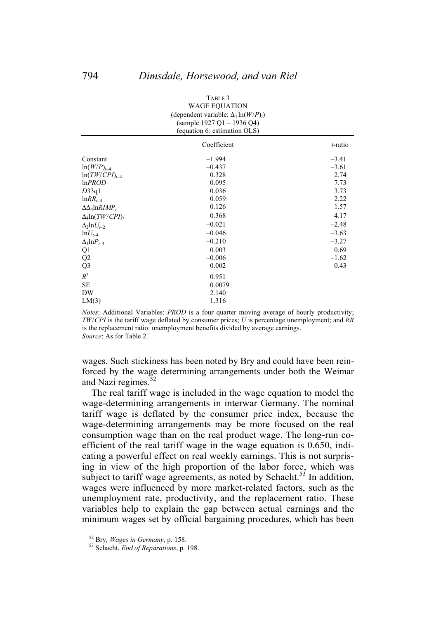| (sample 1927 Q1 – 1936 Q4)<br>(equation 6: estimation OLS) |             |                 |  |  |
|------------------------------------------------------------|-------------|-----------------|--|--|
|                                                            | Coefficient | <i>t</i> -ratio |  |  |
| Constant                                                   | $-1.994$    | $-3.41$         |  |  |
| $ln(W/P)_{t-4}$                                            | $-0.437$    | $-3.61$         |  |  |
| $ln(TW/CPI)_{t-4}$                                         | 0.328       | 2.74            |  |  |
| $ln$ <i>PROD</i>                                           | 0.095       | 7.73            |  |  |
| D33q1                                                      | 0.036       | 3.73            |  |  |
| $lnRR_{t-4}$                                               | 0.059       | 2.22            |  |  |
| $\Delta\Delta_4$ ln $RIMP_t$                               | 0.126       | 1.57            |  |  |
| $\Delta_4$ ln( <i>TW</i> / <i>CPI</i> ) <sub>t</sub>       | 0.368       | 4.17            |  |  |
| $\Delta_2 \ln U_{t-2}$                                     | $-0.021$    | $-2.48$         |  |  |
| $ln U_{t-4}$                                               | $-0.046$    | $-3.63$         |  |  |
| $\Delta_4$ ln $P_{t-4}$                                    | $-0.210$    | $-3.27$         |  |  |
| Q1                                                         | 0.003       | 0.69            |  |  |
| Q2                                                         | $-0.006$    | $-1.62$         |  |  |
| Q <sub>3</sub>                                             | 0.002       | 0.43            |  |  |
| $R^2$                                                      | 0.951       |                 |  |  |
| <b>SE</b>                                                  | 0.0079      |                 |  |  |
| <b>DW</b>                                                  | 2.140       |                 |  |  |
| LM(3)                                                      | 1.316       |                 |  |  |

| TABLE 3                                       |
|-----------------------------------------------|
| <b>WAGE EQUATION</b>                          |
| (dependent variable: $\Delta_4 \ln(W/P)$ )    |
| (sample 1927 O1 $-$ 1936 O4)                  |
| $($ equation 6; estimation $\overline{OI}$ S) |

*Notes*: Additional Variables: *PROD* is a four quarter moving average of hourly productivity; *TW*/*CPI* is the tariff wage deflated by consumer prices; *U* is percentage unemployment; and *RR* is the replacement ratio: unemployment benefits divided by average earnings. *Source*: As for Table 2.

wages. Such stickiness has been noted by Bry and could have been reinforced by the wage determining arrangements under both the Weimar and Nazi regimes.<sup>52</sup>

The real tariff wage is included in the wage equation to model the wage-determining arrangements in interwar Germany. The nominal tariff wage is deflated by the consumer price index, because the wage-determining arrangements may be more focused on the real consumption wage than on the real product wage. The long-run coefficient of the real tariff wage in the wage equation is 0.650, indicating a powerful effect on real weekly earnings. This is not surprising in view of the high proportion of the labor force, which was subject to tariff wage agreements, as noted by Schacht.<sup>53</sup> In addition, wages were influenced by more market-related factors, such as the unemployment rate, productivity, and the replacement ratio. These variables help to explain the gap between actual earnings and the minimum wages set by official bargaining procedures, which has been

<sup>52</sup> Bry*, Wages in Germany*, p. 158. 53 Schacht, *End of Reparations*, p. 198.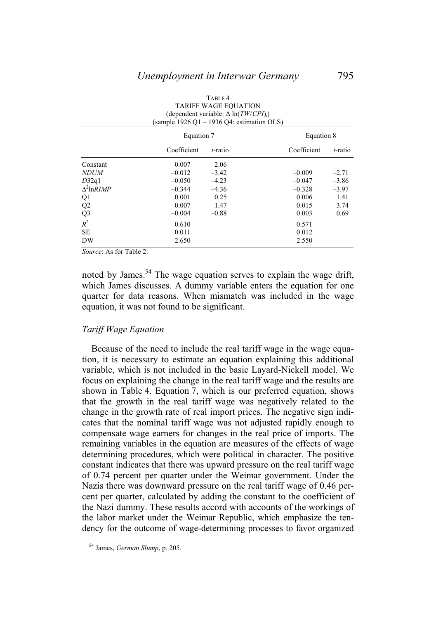|                           | Equation 7  |                 | Equation 8  |                 |  |
|---------------------------|-------------|-----------------|-------------|-----------------|--|
|                           | Coefficient | <i>t</i> -ratio | Coefficient | <i>t</i> -ratio |  |
| Constant                  | 0.007       | 2.06            |             |                 |  |
| <i>NDUM</i>               | $-0.012$    | $-3.42$         | $-0.009$    | $-2.71$         |  |
| D32q1                     | $-0.050$    | $-4.23$         | $-0.047$    | $-3.86$         |  |
| $\Delta^2$ ln <i>RIMP</i> | $-0.344$    | $-4.36$         | $-0.328$    | $-3.97$         |  |
| Q <sub>1</sub>            | 0.001       | 0.25            | 0.006       | 1.41            |  |
| Q2                        | 0.007       | 1.47            | 0.015       | 3.74            |  |
| Q <sub>3</sub>            | $-0.004$    | $-0.88$         | 0.003       | 0.69            |  |
| $R^2$                     | 0.610       |                 | 0.571       |                 |  |
| <b>SE</b>                 | 0.011       |                 | 0.012       |                 |  |
| DW                        | 2.650       |                 | 2.550       |                 |  |

| TABLE 4                                      |
|----------------------------------------------|
| <b>TARIFF WAGE EQUATION</b>                  |
| (dependent variable: $\Delta \ln(TW/CPI)$ )  |
| (sample 1926 Q1 $-$ 1936 Q4: estimation OLS) |

*Source*: As for Table 2.

noted by James.<sup>54</sup> The wage equation serves to explain the wage drift. which James discusses. A dummy variable enters the equation for one quarter for data reasons. When mismatch was included in the wage equation, it was not found to be significant.

#### *Tariff Wage Equation*

 Because of the need to include the real tariff wage in the wage equation, it is necessary to estimate an equation explaining this additional variable, which is not included in the basic Layard-Nickell model. We focus on explaining the change in the real tariff wage and the results are shown in Table 4. Equation 7, which is our preferred equation, shows that the growth in the real tariff wage was negatively related to the change in the growth rate of real import prices. The negative sign indicates that the nominal tariff wage was not adjusted rapidly enough to compensate wage earners for changes in the real price of imports. The remaining variables in the equation are measures of the effects of wage determining procedures, which were political in character. The positive constant indicates that there was upward pressure on the real tariff wage of 0.74 percent per quarter under the Weimar government. Under the Nazis there was downward pressure on the real tariff wage of 0.46 percent per quarter, calculated by adding the constant to the coefficient of the Nazi dummy. These results accord with accounts of the workings of the labor market under the Weimar Republic, which emphasize the tendency for the outcome of wage-determining processes to favor organized

<sup>54</sup> James, *German Slump*, p. 205.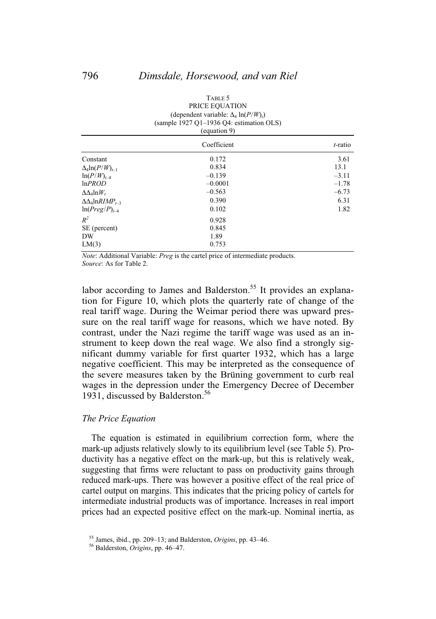TABLE 5

|                                  | PRICE EQUATION<br>(dependent variable: $\Delta_4 \ln(P/W)$ )<br>(sample 1927 Q1-1936 Q4: estimation OLS)<br>(equation 9) |            |
|----------------------------------|--------------------------------------------------------------------------------------------------------------------------|------------|
|                                  | Coefficient                                                                                                              | $t$ -ratio |
| Constant                         | 0.172                                                                                                                    | 3.61       |
| $\Delta_4$ ln $(P/W)_{t-1}$      | 0.834                                                                                                                    | 13.1       |
| $ln(P/W)_{t-4}$                  | $-0.139$                                                                                                                 | $-3.11$    |
| ln <i>PROD</i>                   | $-0.0001$                                                                                                                | $-1.78$    |
| $\Delta \Delta_4 \ln W_t$        | $-0.563$                                                                                                                 | $-6.73$    |
| $\Delta\Delta_4$ ln $RIMP_{4-3}$ | 0.390                                                                                                                    | 6.31       |
| $ln(Preg/P)_{t-4}$               | 0.102                                                                                                                    | 1.82       |
| $R^2$                            | 0.928                                                                                                                    |            |
| SE (percent)                     | 0.845                                                                                                                    |            |
| DW                               | 1.89                                                                                                                     |            |
| LM(3)                            | 0.753                                                                                                                    |            |

*Note*: Additional Variable: *Preg* is the cartel price of intermediate products. *Source*: As for Table 2.

labor according to James and Balderston.<sup>55</sup> It provides an explanation for Figure 10, which plots the quarterly rate of change of the real tariff wage. During the Weimar period there was upward pressure on the real tariff wage for reasons, which we have noted. By contrast, under the Nazi regime the tariff wage was used as an instrument to keep down the real wage. We also find a strongly significant dummy variable for first quarter 1932, which has a large negative coefficient. This may be interpreted as the consequence of the severe measures taken by the Brüning government to curb real wages in the depression under the Emergency Decree of December 1931, discussed by Balderston.<sup>56</sup>

## *The Price Equation*

 The equation is estimated in equilibrium correction form, where the mark-up adjusts relatively slowly to its equilibrium level (see Table 5). Productivity has a negative effect on the mark-up, but this is relatively weak, suggesting that firms were reluctant to pass on productivity gains through reduced mark-ups. There was however a positive effect of the real price of cartel output on margins. This indicates that the pricing policy of cartels for intermediate industrial products was of importance. Increases in real import prices had an expected positive effect on the mark-up. Nominal inertia, as

<sup>55</sup> James, ibid., pp. 209–13; and Balderston, *Origins*, pp. 43–46. 56 Balderston, *Origins*, pp. 46–47.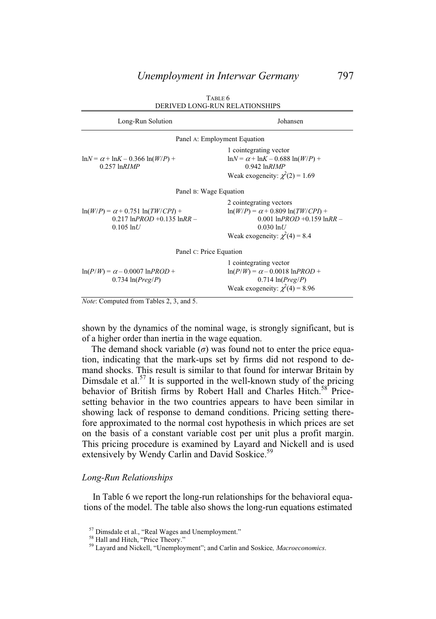| DERIVED LONG-RUN RELATIONSHIPS                                                                |                                                                                                                                                              |  |  |  |  |
|-----------------------------------------------------------------------------------------------|--------------------------------------------------------------------------------------------------------------------------------------------------------------|--|--|--|--|
| Long-Run Solution                                                                             | Johansen                                                                                                                                                     |  |  |  |  |
|                                                                                               | Panel A: Employment Equation                                                                                                                                 |  |  |  |  |
| $\ln N = \alpha + \ln K - 0.366 \ln (W/P) +$<br>$0.257$ ln $RIMP$                             | 1 cointegrating vector<br>$lnN = \alpha + lnK - 0.688 ln(W/P) +$<br>$0.942$ ln $RIMP$<br>Weak exogeneity: $\chi^2(2) = 1.69$                                 |  |  |  |  |
| Panel B: Wage Equation                                                                        |                                                                                                                                                              |  |  |  |  |
| $ln(W/P) = \alpha + 0.751 ln(TW/CPI) +$<br>$0.217 \ln PROD + 0.135 \ln RR -$<br>$0.105 \ln U$ | 2 cointegrating vectors<br>$ln(W/P) = \alpha + 0.809 ln(TW/CPI) +$<br>$0.001 \ln PROD + 0.159 \ln RR$<br>$0.030 \ln U$<br>Weak exogeneity: $\chi^2(4) = 8.4$ |  |  |  |  |
| Panel C: Price Equation                                                                       |                                                                                                                                                              |  |  |  |  |
| $\ln(P/W) = \alpha - 0.0007 \ln PROD +$<br>$0.734 \ln(Preg/P)$                                | 1 cointegrating vector<br>$ln(P/W) = \alpha - 0.0018 lnPROD +$<br>$0.714 \ln(Preg/P)$<br>Weak exogeneity: $\chi^2(4) = 8.96$                                 |  |  |  |  |

TABLE 6

*Note*: Computed from Tables 2, 3, and 5.

shown by the dynamics of the nominal wage, is strongly significant, but is of a higher order than inertia in the wage equation.

The demand shock variable  $(\sigma)$  was found not to enter the price equation, indicating that the mark-ups set by firms did not respond to demand shocks. This result is similar to that found for interwar Britain by Dimsdale et al.<sup>57</sup> It is supported in the well-known study of the pricing behavior of British firms by Robert Hall and Charles Hitch.<sup>58</sup> Pricesetting behavior in the two countries appears to have been similar in showing lack of response to demand conditions. Pricing setting therefore approximated to the normal cost hypothesis in which prices are set on the basis of a constant variable cost per unit plus a profit margin. This pricing procedure is examined by Layard and Nickell and is used extensively by Wendy Carlin and David Soskice.<sup>59</sup>

#### *Long-Run Relationships*

In Table 6 we report the long-run relationships for the behavioral equations of the model. The table also shows the long-run equations estimated

<sup>57</sup> Dimsdale et al., "Real Wages and Unemployment."

<sup>58</sup> Hall and Hitch, "Price Theory."

<sup>59</sup> Layard and Nickell, "Unemployment"; and Carlin and Soskice*, Macroeconomics*.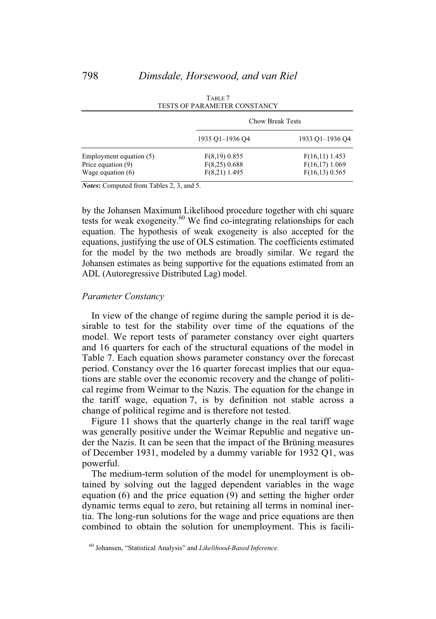|                         | <b>Chow Break Tests</b> |                  |  |
|-------------------------|-------------------------|------------------|--|
|                         | 1935 Q1-1936 Q4         | 1933 O1-1936 O4  |  |
| Employment equation (5) | $F(8,19)$ 0.855         | $F(16,11)$ 1.453 |  |
| Price equation $(9)$    | $F(8,25)$ 0.688         | $F(16,17)$ 1.069 |  |
| Wage equation $(6)$     | $F(8,21)$ 1.495         | $F(16,13)$ 0.565 |  |

TABLE 7 TESTS OF PARAMETER CONSTANCY

*Notes***:** Computed from Tables 2, 3, and 5.

by the Johansen Maximum Likelihood procedure together with chi square tests for weak exogeneity. $60$  We find co-integrating relationships for each equation. The hypothesis of weak exogeneity is also accepted for the equations, justifying the use of OLS estimation. The coefficients estimated for the model by the two methods are broadly similar. We regard the Johansen estimates as being supportive for the equations estimated from an ADL (Autoregressive Distributed Lag) model.

#### *Parameter Constancy*

 In view of the change of regime during the sample period it is desirable to test for the stability over time of the equations of the model. We report tests of parameter constancy over eight quarters and 16 quarters for each of the structural equations of the model in Table 7. Each equation shows parameter constancy over the forecast period. Constancy over the 16 quarter forecast implies that our equations are stable over the economic recovery and the change of political regime from Weimar to the Nazis. The equation for the change in the tariff wage, equation 7, is by definition not stable across a change of political regime and is therefore not tested.

 Figure 11 shows that the quarterly change in the real tariff wage was generally positive under the Weimar Republic and negative under the Nazis. It can be seen that the impact of the Brüning measures of December 1931, modeled by a dummy variable for 1932 Q1, was powerful.

 The medium-term solution of the model for unemployment is obtained by solving out the lagged dependent variables in the wage equation (6) and the price equation (9) and setting the higher order dynamic terms equal to zero, but retaining all terms in nominal inertia. The long-run solutions for the wage and price equations are then combined to obtain the solution for unemployment. This is facili-

<sup>60</sup> Johansen, "Statistical Analysis" and *Likelihood-Based Inference.*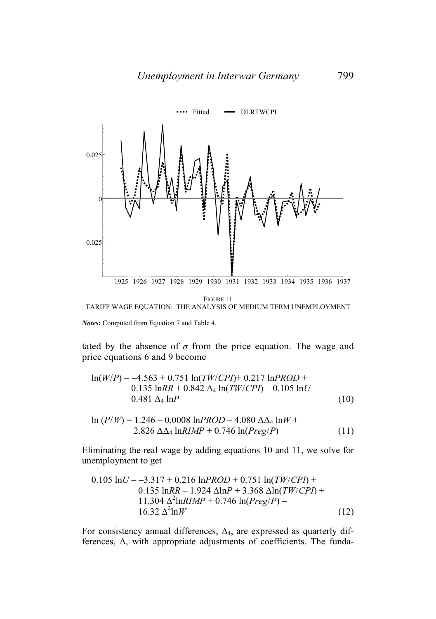

TARIFF WAGE EQUATION: THE ANALYSIS OF MEDIUM TERM UNEMPLOYMENT

*Notes***:** Computed from Equation 7 and Table 4.

tated by the absence of  $\sigma$  from the price equation. The wage and price equations 6 and 9 become

$$
\ln(W/P) = -4.563 + 0.751 \ln(TW/CPI) + 0.217 \ln PROD + 0.135 \ln RR + 0.842 \Delta_4 \ln(TW/CPI) - 0.105 \ln U - 0.481 \Delta_4 \ln P
$$
\n(10)

$$
\ln (P/W) = 1.246 - 0.0008 \ln PROD - 4.080 \Delta\Delta_4 \ln W + 2.826 \Delta\Delta_4 \ln RIMP + 0.746 \ln (Preg/P)
$$
 (11)

Eliminating the real wage by adding equations 10 and 11, we solve for unemployment to get

$$
0.105 \ln U = -3.317 + 0.216 \ln PROD + 0.751 \ln(TW/CPI) +
$$
  
\n
$$
0.135 \ln RR - 1.924 \Delta \ln P + 3.368 \Delta \ln(TW/CPI) +
$$
  
\n
$$
11.304 \Delta^2 \ln RIMP + 0.746 \ln(Preg/P) -
$$
  
\n
$$
16.32 \Delta^2 \ln W
$$
 (12)

For consistency annual differences,  $\Delta_4$ , are expressed as quarterly differences,  $\Delta$ , with appropriate adjustments of coefficients. The funda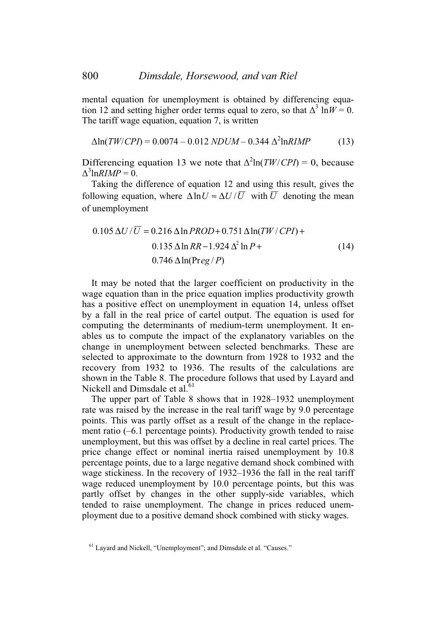mental equation for unemployment is obtained by differencing equation 12 and setting higher order terms equal to zero, so that  $\Delta^3 \ln W = 0$ . The tariff wage equation, equation 7, is written

$$
\Delta \ln(TW/CPI) = 0.0074 - 0.012 NDUM - 0.344 \Delta^2 \ln RIMP \tag{13}
$$

Differencing equation 13 we note that  $\Delta^2 \ln(TW/CPI) = 0$ , because  $\Delta^3$ ln*RIMP* = 0.

 Taking the difference of equation 12 and using this result, gives the following equation, where  $\Delta \ln U \approx \Delta U / \overline{U}$  with  $\overline{U}$  denoting the mean of unemployment

$$
0.105 \Delta U / \overline{U} = 0.216 \Delta \ln PROD + 0.751 \Delta \ln(TW / CPI) +
$$
  
0.135 \Delta \ln RR - 1.924 \Delta<sup>2</sup> \ln P +  
0.746 \Delta \ln(Preg / P) (14)

 It may be noted that the larger coefficient on productivity in the wage equation than in the price equation implies productivity growth has a positive effect on unemployment in equation 14, unless offset by a fall in the real price of cartel output. The equation is used for computing the determinants of medium-term unemployment. It enables us to compute the impact of the explanatory variables on the change in unemployment between selected benchmarks. These are selected to approximate to the downturn from 1928 to 1932 and the recovery from 1932 to 1936. The results of the calculations are shown in the Table 8. The procedure follows that used by Layard and Nickell and Dimsdale et al.<sup>61</sup>

 The upper part of Table 8 shows that in 1928–1932 unemployment rate was raised by the increase in the real tariff wage by 9.0 percentage points. This was partly offset as a result of the change in the replacement ratio (–6.1 percentage points). Productivity growth tended to raise unemployment, but this was offset by a decline in real cartel prices. The price change effect or nominal inertia raised unemployment by 10.8 percentage points, due to a large negative demand shock combined with wage stickiness. In the recovery of 1932–1936 the fall in the real tariff wage reduced unemployment by 10.0 percentage points, but this was partly offset by changes in the other supply-side variables, which tended to raise unemployment. The change in prices reduced unemployment due to a positive demand shock combined with sticky wages.

<sup>61</sup> Layard and Nickell, "Unemployment"; and Dimsdale et al. "Causes."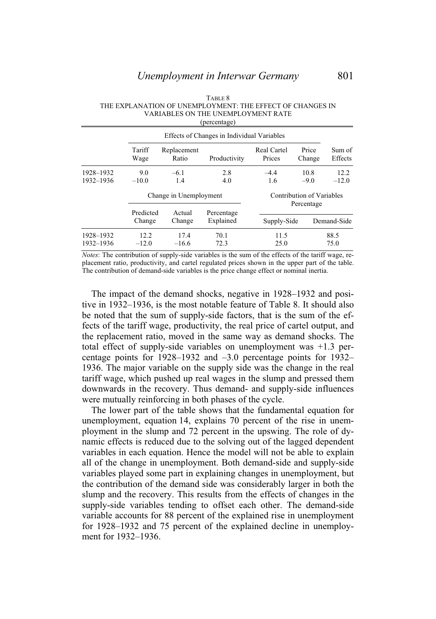|                        |                     |                                            | (percentage)            |                                         |                 |                   |
|------------------------|---------------------|--------------------------------------------|-------------------------|-----------------------------------------|-----------------|-------------------|
|                        |                     | Effects of Changes in Individual Variables |                         |                                         |                 |                   |
|                        | Tariff<br>Wage      | Replacement<br>Ratio                       | Productivity            | Real Cartel<br>Prices                   | Price<br>Change | Sum of<br>Effects |
| 1928-1932<br>1932-1936 | 9.0<br>$-10.0$      | $-6.1$<br>1.4                              | 2.8<br>4.0              | $-4.4$<br>1.6                           | 10.8<br>$-9.0$  | 12.2<br>$-12.0$   |
|                        |                     | Change in Unemployment                     |                         | Contribution of Variables<br>Percentage |                 |                   |
|                        | Predicted<br>Change | Actual<br>Change                           | Percentage<br>Explained | Supply-Side                             |                 | Demand-Side       |
| 1928-1932<br>1932-1936 | 12.2<br>$-12.0$     | 17.4<br>$-16.6$                            | 70.1<br>72.3            | 11.5<br>25.0                            |                 | 88.5<br>75.0      |

TABLE 8 THE EXPLANATION OF UNEMPLOYMENT: THE EFFECT OF CHANGES IN VARIABLES ON THE UNEMPLOYMENT RATE

*Notes*: The contribution of supply-side variables is the sum of the effects of the tariff wage, replacement ratio, productivity, and cartel regulated prices shown in the upper part of the table. The contribution of demand-side variables is the price change effect or nominal inertia.

 The impact of the demand shocks, negative in 1928–1932 and positive in 1932–1936, is the most notable feature of Table 8. It should also be noted that the sum of supply-side factors, that is the sum of the effects of the tariff wage, productivity, the real price of cartel output, and the replacement ratio, moved in the same way as demand shocks. The total effect of supply-side variables on unemployment was +1.3 percentage points for 1928–1932 and –3.0 percentage points for 1932– 1936. The major variable on the supply side was the change in the real tariff wage, which pushed up real wages in the slump and pressed them downwards in the recovery. Thus demand- and supply-side influences were mutually reinforcing in both phases of the cycle.

 The lower part of the table shows that the fundamental equation for unemployment, equation 14, explains 70 percent of the rise in unemployment in the slump and 72 percent in the upswing. The role of dynamic effects is reduced due to the solving out of the lagged dependent variables in each equation. Hence the model will not be able to explain all of the change in unemployment. Both demand-side and supply-side variables played some part in explaining changes in unemployment, but the contribution of the demand side was considerably larger in both the slump and the recovery. This results from the effects of changes in the supply-side variables tending to offset each other. The demand-side variable accounts for 88 percent of the explained rise in unemployment for 1928–1932 and 75 percent of the explained decline in unemployment for 1932–1936.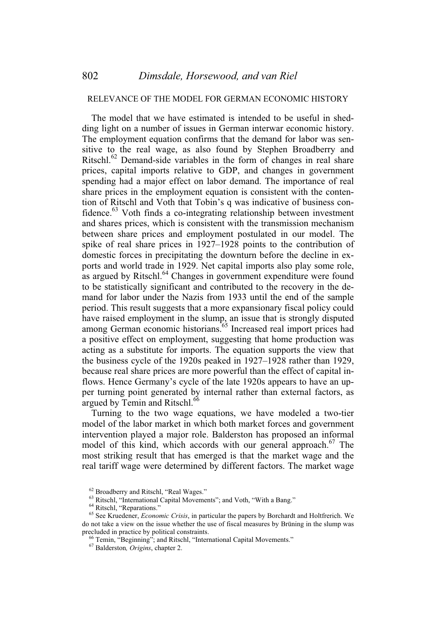#### RELEVANCE OF THE MODEL FOR GERMAN ECONOMIC HISTORY

 The model that we have estimated is intended to be useful in shedding light on a number of issues in German interwar economic history. The employment equation confirms that the demand for labor was sensitive to the real wage, as also found by Stephen Broadberry and Ritschl.<sup>62</sup> Demand-side variables in the form of changes in real share prices, capital imports relative to GDP, and changes in government spending had a major effect on labor demand. The importance of real share prices in the employment equation is consistent with the contention of Ritschl and Voth that Tobin's q was indicative of business confidence.63 Voth finds a co-integrating relationship between investment and shares prices, which is consistent with the transmission mechanism between share prices and employment postulated in our model. The spike of real share prices in 1927–1928 points to the contribution of domestic forces in precipitating the downturn before the decline in exports and world trade in 1929. Net capital imports also play some role, as argued by Ritschl.<sup>64</sup> Changes in government expenditure were found to be statistically significant and contributed to the recovery in the demand for labor under the Nazis from 1933 until the end of the sample period. This result suggests that a more expansionary fiscal policy could have raised employment in the slump, an issue that is strongly disputed among German economic historians.<sup>65</sup> Increased real import prices had a positive effect on employment, suggesting that home production was acting as a substitute for imports. The equation supports the view that the business cycle of the 1920s peaked in 1927–1928 rather than 1929, because real share prices are more powerful than the effect of capital inflows. Hence Germany's cycle of the late 1920s appears to have an upper turning point generated by internal rather than external factors, as argued by Temin and Ritschl.<sup>66</sup>

 Turning to the two wage equations, we have modeled a two-tier model of the labor market in which both market forces and government intervention played a major role. Balderston has proposed an informal model of this kind, which accords with our general approach.<sup>67</sup> The most striking result that has emerged is that the market wage and the real tariff wage were determined by different factors. The market wage

<sup>62</sup> Broadberry and Ritschl, "Real Wages."

<sup>&</sup>lt;sup>63</sup> Ritschl, "International Capital Movements"; and Voth, "With a Bang."

<sup>&</sup>lt;sup>64</sup> Ritschl, "Reparations."

<sup>65</sup> See Kruedener, *Economic Crisis*, in particular the papers by Borchardt and Holtfrerich. We do not take a view on the issue whether the use of fiscal measures by Brüning in the slump was precluded in practice by political constraints.<br><sup>66</sup> Temin, "Beginning"; and Ritschl, "International Capital Movements."

<sup>67</sup> Balderston*, Origins*, chapter 2.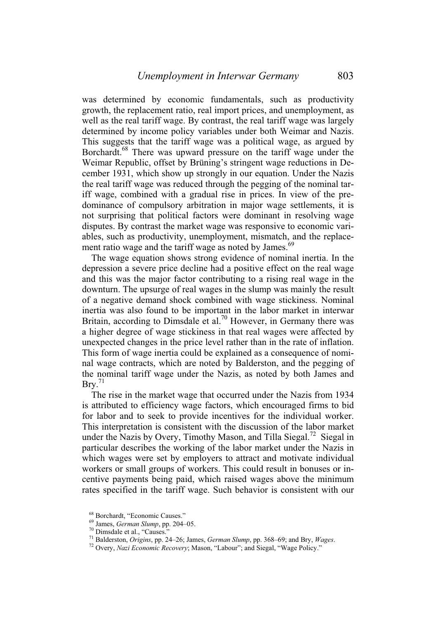was determined by economic fundamentals, such as productivity growth, the replacement ratio, real import prices, and unemployment, as well as the real tariff wage. By contrast, the real tariff wage was largely determined by income policy variables under both Weimar and Nazis. This suggests that the tariff wage was a political wage, as argued by Borchardt.<sup>68</sup> There was upward pressure on the tariff wage under the Weimar Republic, offset by Brüning's stringent wage reductions in December 1931, which show up strongly in our equation. Under the Nazis the real tariff wage was reduced through the pegging of the nominal tariff wage, combined with a gradual rise in prices. In view of the predominance of compulsory arbitration in major wage settlements, it is not surprising that political factors were dominant in resolving wage disputes. By contrast the market wage was responsive to economic variables, such as productivity, unemployment, mismatch, and the replacement ratio wage and the tariff wage as noted by James.<sup>69</sup>

 The wage equation shows strong evidence of nominal inertia. In the depression a severe price decline had a positive effect on the real wage and this was the major factor contributing to a rising real wage in the downturn. The upsurge of real wages in the slump was mainly the result of a negative demand shock combined with wage stickiness. Nominal inertia was also found to be important in the labor market in interwar Britain, according to Dimsdale et al.<sup>70</sup> However, in Germany there was a higher degree of wage stickiness in that real wages were affected by unexpected changes in the price level rather than in the rate of inflation. This form of wage inertia could be explained as a consequence of nominal wage contracts, which are noted by Balderston, and the pegging of the nominal tariff wage under the Nazis, as noted by both James and  $Bry.<sup>71</sup>$ 

 The rise in the market wage that occurred under the Nazis from 1934 is attributed to efficiency wage factors, which encouraged firms to bid for labor and to seek to provide incentives for the individual worker. This interpretation is consistent with the discussion of the labor market under the Nazis by Overy, Timothy Mason, and Tilla Siegal.<sup>72</sup> Siegal in particular describes the working of the labor market under the Nazis in which wages were set by employers to attract and motivate individual workers or small groups of workers. This could result in bonuses or incentive payments being paid, which raised wages above the minimum rates specified in the tariff wage. Such behavior is consistent with our

 $^{68}$  Borchardt, "Economic Causes."<br> $^{69}$  James, *German Slump*, pp. 204–05.

<sup>&</sup>lt;sup>69</sup> James, *German Slump*, pp. 204–05.<br><sup>70</sup> Dimsdale et al., "Causes."

<sup>&</sup>lt;sup>71</sup> Balderston, *Origins*, pp. 24–26; James, *German Slump*, pp. 368–69; and Bry, *Wages*. <sup>72</sup> Overy, *Nazi Economic Recovery*; Mason, "Labour"; and Siegal, "Wage Policy."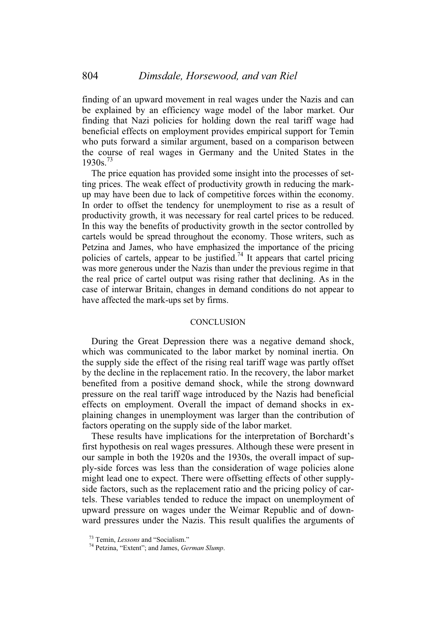finding of an upward movement in real wages under the Nazis and can be explained by an efficiency wage model of the labor market. Our finding that Nazi policies for holding down the real tariff wage had beneficial effects on employment provides empirical support for Temin who puts forward a similar argument, based on a comparison between the course of real wages in Germany and the United States in the  $1930s.<sup>73</sup>$ 

 The price equation has provided some insight into the processes of setting prices. The weak effect of productivity growth in reducing the markup may have been due to lack of competitive forces within the economy. In order to offset the tendency for unemployment to rise as a result of productivity growth, it was necessary for real cartel prices to be reduced. In this way the benefits of productivity growth in the sector controlled by cartels would be spread throughout the economy. Those writers, such as Petzina and James, who have emphasized the importance of the pricing policies of cartels, appear to be justified.<sup>74</sup> It appears that cartel pricing was more generous under the Nazis than under the previous regime in that the real price of cartel output was rising rather that declining. As in the case of interwar Britain, changes in demand conditions do not appear to have affected the mark-ups set by firms.

## **CONCLUSION**

 During the Great Depression there was a negative demand shock, which was communicated to the labor market by nominal inertia. On the supply side the effect of the rising real tariff wage was partly offset by the decline in the replacement ratio. In the recovery, the labor market benefited from a positive demand shock, while the strong downward pressure on the real tariff wage introduced by the Nazis had beneficial effects on employment. Overall the impact of demand shocks in explaining changes in unemployment was larger than the contribution of factors operating on the supply side of the labor market.

 These results have implications for the interpretation of Borchardt's first hypothesis on real wages pressures. Although these were present in our sample in both the 1920s and the 1930s, the overall impact of supply-side forces was less than the consideration of wage policies alone might lead one to expect. There were offsetting effects of other supplyside factors, such as the replacement ratio and the pricing policy of cartels. These variables tended to reduce the impact on unemployment of upward pressure on wages under the Weimar Republic and of downward pressures under the Nazis. This result qualifies the arguments of

<sup>73</sup> Temin, *Lessons* and "Socialism." 74 Petzina, "Extent"; and James, *German Slump*.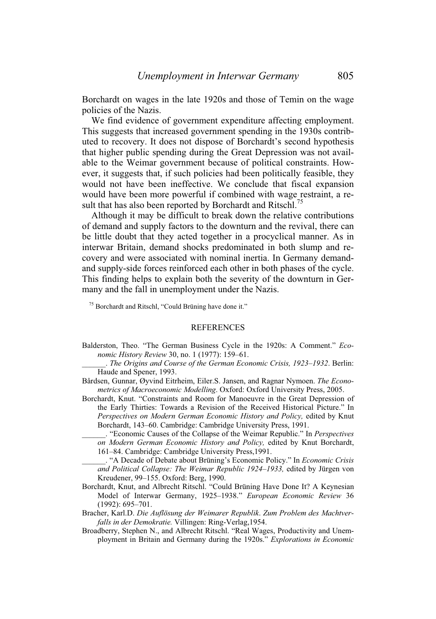Borchardt on wages in the late 1920s and those of Temin on the wage policies of the Nazis.

 We find evidence of government expenditure affecting employment. This suggests that increased government spending in the 1930s contributed to recovery. It does not dispose of Borchardt's second hypothesis that higher public spending during the Great Depression was not available to the Weimar government because of political constraints. However, it suggests that, if such policies had been politically feasible, they would not have been ineffective. We conclude that fiscal expansion would have been more powerful if combined with wage restraint, a result that has also been reported by Borchardt and Ritschl.<sup>75</sup>

 Although it may be difficult to break down the relative contributions of demand and supply factors to the downturn and the revival, there can be little doubt that they acted together in a procyclical manner. As in interwar Britain, demand shocks predominated in both slump and recovery and were associated with nominal inertia. In Germany demandand supply-side forces reinforced each other in both phases of the cycle. This finding helps to explain both the severity of the downturn in Germany and the fall in unemployment under the Nazis.

75 Borchardt and Ritschl, "Could Brüning have done it."

#### REFERENCES

Balderston, Theo. "The German Business Cycle in the 1920s: A Comment." *Economic History Review* 30, no. 1 (1977): 159–61.

\_\_\_\_\_\_. *The Origins and Course of the German Economic Crisis, 1923–1932*. Berlin: Haude and Spener, 1993.

- Bårdsen, Gunnar, Øyvind Eitrheim, Eiler.S. Jansen, and Ragnar Nymoen. *The Econometrics of Macroeconomic Modelling*. Oxford: Oxford University Press, 2005.
- Borchardt, Knut. "Constraints and Room for Manoeuvre in the Great Depression of the Early Thirties: Towards a Revision of the Received Historical Picture." In *Perspectives on Modern German Economic History and Policy,* edited by Knut Borchardt, 143–60. Cambridge: Cambridge University Press, 1991.
	- \_\_\_\_\_\_. "Economic Causes of the Collapse of the Weimar Republic." In *Perspectives on Modern German Economic History and Policy,* edited by Knut Borchardt, 161–84. Cambridge: Cambridge University Press,1991.
	- \_\_\_\_\_\_. "A Decade of Debate about Brüning's Economic Policy." In *Economic Crisis and Political Collapse: The Weimar Republic 1924–1933,* edited by Jürgen von Kreudener, 99–155. Oxford: Berg, 1990.
- Borchardt, Knut, and Albrecht Ritschl. "Could Brüning Have Done It? A Keynesian Model of Interwar Germany, 1925–1938." *European Economic Review* 36 (1992): 695–701.
- Bracher, Karl.D. *Die Auflösung der Weimarer Republik*. *Zum Problem des Machtverfalls in der Demokratie.* Villingen: Ring-Verlag,1954.
- Broadberry, Stephen N., and Albrecht Ritschl. "Real Wages, Productivity and Unemployment in Britain and Germany during the 1920s." *Explorations in Economic*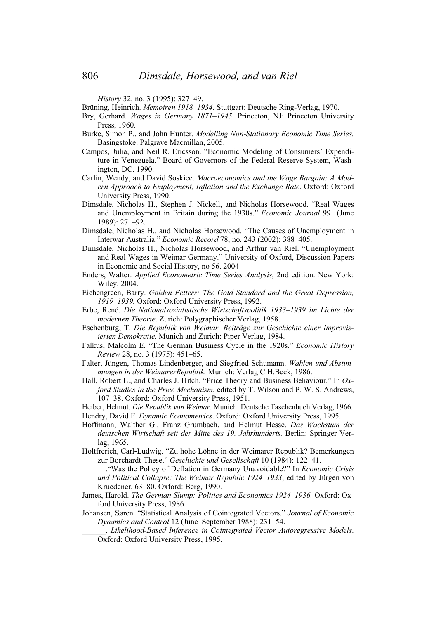*History* 32, no. 3 (1995): 327–49.

Brüning, Heinrich. *Memoiren 1918–1934*. Stuttgart: Deutsche Ring-Verlag, 1970.

- Bry, Gerhard. *Wages in Germany 1871–1945.* Princeton, NJ: Princeton University Press, 1960.
- Burke, Simon P., and John Hunter. *Modelling Non-Stationary Economic Time Series.* Basingstoke: Palgrave Macmillan, 2005.
- Campos, Julia, and Neil R. Ericsson. "Economic Modeling of Consumers' Expenditure in Venezuela." Board of Governors of the Federal Reserve System, Washington, DC. 1990.

Carlin, Wendy, and David Soskice. *Macroeconomics and the Wage Bargain: A Modern Approach to Employment, Inflation and the Exchange Rate*. Oxford: Oxford University Press, 1990.

- Dimsdale, Nicholas H., Stephen J. Nickell, and Nicholas Horsewood. "Real Wages and Unemployment in Britain during the 1930s." *Economic Journal* 99 (June 1989): 271–92.
- Dimsdale, Nicholas H., and Nicholas Horsewood. "The Causes of Unemployment in Interwar Australia." *Economic Record* 78, no. 243 (2002): 388–405.
- Dimsdale, Nicholas H., Nicholas Horsewood, and Arthur van Riel. "Unemployment and Real Wages in Weimar Germany." University of Oxford, Discussion Papers in Economic and Social History, no 56. 2004
- Enders, Walter. *Applied Econometric Time Series Analysis*, 2nd edition. New York: Wiley, 2004.
- Eichengreen, Barry. *Golden Fetters: The Gold Standard and the Great Depression, 1919–1939.* Oxford: Oxford University Press, 1992.
- Erbe, René. *Die Nationalsozialistische Wirtschaftspolitik 1933–1939 im Lichte der modernen Theorie*. Zurich: Polygraphischer Verlag, 1958.
- Eschenburg, T. *Die Republik von Weimar. Beiträge zur Geschichte einer Improvisierten Demokratie.* Munich and Zurich: Piper Verlag, 1984.
- Falkus, Malcolm E. "The German Business Cycle in the 1920s." *Economic History Review* 28, no. 3 (1975): 451–65.
- Falter, Jüngen, Thomas Lindenberger, and Siegfried Schumann. *Wahlen und Abstimmungen in der WeimarerRepublik.* Munich: Verlag C.H.Beck, 1986.
- Hall, Robert L., and Charles J. Hitch. "Price Theory and Business Behaviour." In *Oxford Studies in the Price Mechanism*, edited by T. Wilson and P. W. S. Andrews, 107–38. Oxford: Oxford University Press, 1951.

Heiber, Helmut. *Die Republik von Weimar.* Munich: Deutsche Taschenbuch Verlag, 1966.

- Hendry, David F. *Dynamic Econometrics*. Oxford: Oxford University Press, 1995.
- Hoffmann, Walther G., Franz Grumbach, and Helmut Hesse. *Das Wachstum der deutschen Wirtschaft seit der Mitte des 19. Jahrhunderts.* Berlin: Springer Verlag, 1965.
- Holtfrerich, Carl-Ludwig. "Zu hohe Löhne in der Weimarer Republik? Bemerkungen zur Borchardt-These." *Geschichte und Gesellschaft* 10 (1984): 122–41.
	- \_\_\_\_\_\_."Was the Policy of Deflation in Germany Unavoidable?" In *Economic Crisis and Political Collapse: The Weimar Republic 1924–1933*, edited by Jürgen von Kruedener, 63–80. Oxford: Berg, 1990.
- James, Harold. *The German Slump: Politics and Economics 1924–1936.* Oxford: Oxford University Press, 1986.
- Johansen, Søren. "Statistical Analysis of Cointegrated Vectors." *Journal of Economic Dynamics and Control* 12 (June–September 1988): 231–54.
	- \_\_\_\_\_\_. *Likelihood-Based Inference in Cointegrated Vector Autoregressive Models*. Oxford: Oxford University Press, 1995.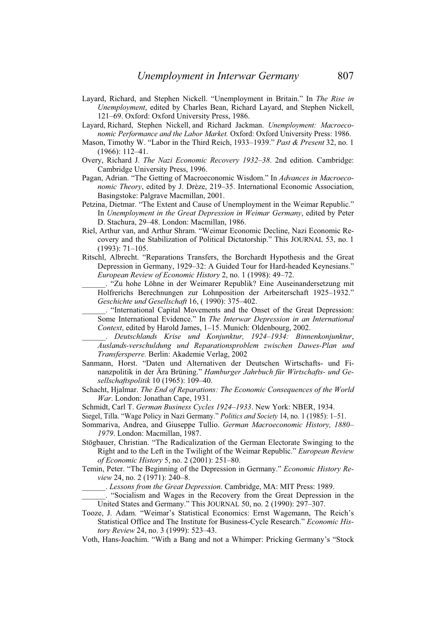- Layard, Richard, and Stephen Nickell. "Unemployment in Britain." In *The Rise in Unemployment*, edited by Charles Bean, Richard Layard, and Stephen Nickell, 121–69. Oxford: Oxford University Press, 1986.
- Layard, Richard, Stephen Nickell, and Richard Jackman. *Unemployment: Macroeconomic Performance and the Labor Market.* Oxford: Oxford University Press: 1986.
- Mason, Timothy W. "Labor in the Third Reich, 1933–1939." *Past & Present* 32, no. 1 (1966): 112–41.
- Overy, Richard J. *The Nazi Economic Recovery 1932–38*. 2nd edition. Cambridge: Cambridge University Press, 1996.
- Pagan, Adrian. "The Getting of Macroeconomic Wisdom." In *Advances in Macroeconomic Theory*, edited by J. Drèze, 219–35. International Economic Association, Basingstoke: Palgrave Macmillan, 2001.
- Petzina, Dietmar. "The Extent and Cause of Unemployment in the Weimar Republic." In *Unemployment in the Great Depression in Weimar Germany*, edited by Peter D. Stachura, 29–48. London: Macmillan, 1986.
- Riel, Arthur van, and Arthur Shram. "Weimar Economic Decline, Nazi Economic Recovery and the Stabilization of Political Dictatorship." This JOURNAL 53, no. 1 (1993): 71–105.
- Ritschl, Albrecht. "Reparations Transfers, the Borchardt Hypothesis and the Great Depression in Germany, 1929–32: A Guided Tour for Hard-headed Keynesians." *European Review of Economic History* 2, no. 1 (1998): 49–72.
- \_\_\_\_\_\_. "Zu hohe Löhne in der Weimarer Republik? Eine Auseinandersetzung mit Holfrerichs Berechnungen zur Lohnposition der Arbeiterschaft 1925–1932." *Geschichte und Gesellschaft* 16, ( 1990): 375–402.
- \_\_\_\_\_\_. "International Capital Movements and the Onset of the Great Depression: Some International Evidence." In *The Interwar Depression in an International Context*, edited by Harold James, 1–15. Munich: Oldenbourg, 2002.
- \_\_\_\_\_\_. *Deutschlands Krise und Konjunktur, 1924–1934: Binnenkonjunktur*, *Auslands-verschuldung und Reparationsproblem zwischen Dawes-Plan und Transfersperre.* Berlin: Akademie Verlag, 2002
- Sanmann, Horst. "Daten und Alternativen der Deutschen Wirtschafts- und Finanzpolitik in der Ära Brüning." *Hamburger Jahrbuch für Wirtschafts- und Gesellschaftspolitik* 10 (1965): 109–40.
- Schacht, Hjalmar. *The End of Reparations: The Economic Consequences of the World War*. London: Jonathan Cape, 1931.
- Schmidt, Carl T. *German Business Cycles 1924–1933*. New York: NBER, 1934.
- Siegel, Tilla. "Wage Policy in Nazi Germany." *Politics and Society* 14, no. 1 (1985): 1–51.
- Sommariva, Andrea, and Giuseppe Tullio. *German Macroeconomic History, 1880– 1979*. London: Macmillan, 1987.
- Stögbauer, Christian. "The Radicalization of the German Electorate Swinging to the Right and to the Left in the Twilight of the Weimar Republic." *European Review of Economic History* 5, no. 2 (2001): 251–80.
- Temin, Peter. "The Beginning of the Depression in Germany." *Economic History Review* 24, no. 2 (1971): 240–8.
	- \_\_\_\_\_\_. *Lessons from the Great Depression*. Cambridge, MA: MIT Press: 1989.
- \_\_\_\_\_\_. "Socialism and Wages in the Recovery from the Great Depression in the United States and Germany." This JOURNAL 50, no. 2 (1990): 297–307.
- Tooze, J. Adam. "Weimar's Statistical Economics: Ernst Wagemann, The Reich's Statistical Office and The Institute for Business-Cycle Research." *Economic History Review* 24, no. 3 (1999): 523–43.
- Voth, Hans-Joachim. "With a Bang and not a Whimper: Pricking Germany's "Stock